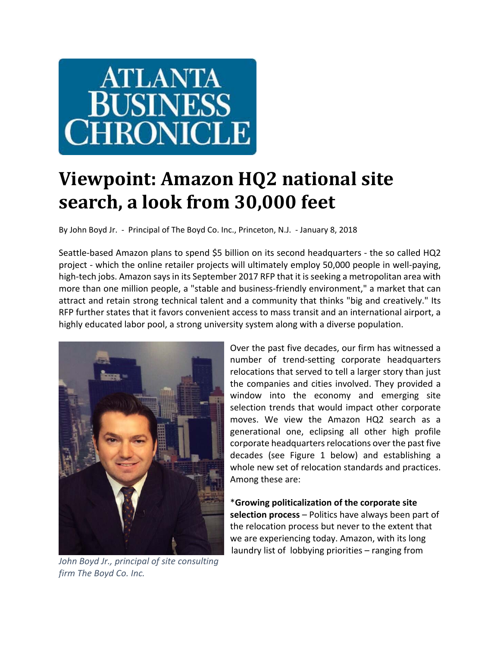# **ATLANTA BUSINESS HRONICLE**

# **Viewpoint: Amazon HQ2 national site search, a look from 30,000 feet**

By John Boyd Jr. - Principal of The Boyd Co. Inc., Princeton, N.J. - January 8, 2018

Seattle‐based Amazon plans to spend \$5 billion on its second headquarters ‐ the so called HQ2 project - which the online retailer projects will ultimately employ 50,000 people in well-paying, high-tech jobs. Amazon says in its September 2017 RFP that it is seeking a metropolitan area with more than one million people, a "stable and business-friendly environment," a market that can attract and retain strong technical talent and a community that thinks "big and creatively." Its RFP further states that it favors convenient access to mass transit and an international airport, a highly educated labor pool, a strong university system along with a diverse population.



*John Boyd Jr., principal of site consulting firm The Boyd Co. Inc.John Boyd Jr., principal of site consulting*

Over the past five decades, our firm has witnessed a number of trend‐setting corporate headquarters relocations that served to tell a larger story than just the companies and cities involved. They provided a window into the economy and emerging site selection trends that would impact other corporate moves. We view the Amazon HQ2 search as a generational one, eclipsing all other high profile corporate headquarters relocations over the past five decades (see Figure 1 below) and establishing a whole new set of relocation standards and practices. Among these are:

\***Growing politicalization of the corporate site selection process** – Politics have always been part of the relocation process but never to the extent that we are experiencing today. Amazon, with its long laundry list of lobbying priorities – ranging from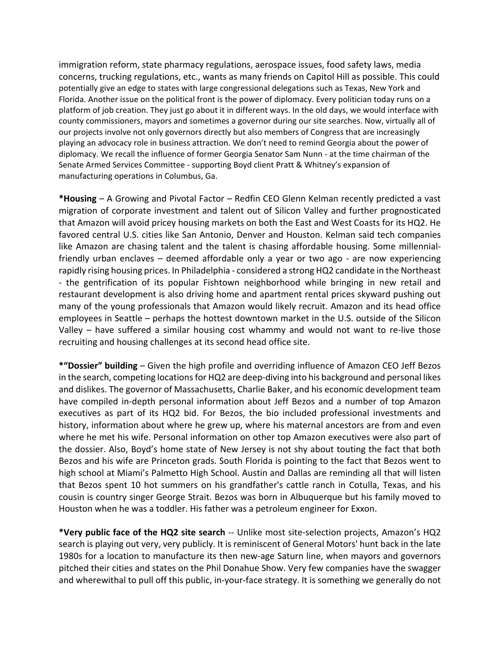immigration reform, state pharmacy regulations, aerospace issues, food safety laws, media concerns, trucking regulations, etc., wants as many friends on Capitol Hill as possible. This could potentially give an edge to states with large congressional delegations such as Texas, New York and Florida. Another issue on the political front is the power of diplomacy. Every politician today runs on a platform of job creation. They just go about it in different ways. In the old days, we would interface with county commissioners, mayors and sometimes a governor during our site searches. Now, virtually all of our projects involve not only governors directly but also members of Congress that are increasingly playing an advocacy role in business attraction. We don't need to remind Georgia about the power of diplomacy. We recall the influence of former Georgia Senator Sam Nunn ‐ at the time chairman of the Senate Armed Services Committee ‐ supporting Boyd client Pratt & Whitney's expansion of manufacturing operations in Columbus, Ga.

**\*Housing** – A Growing and Pivotal Factor – Redfin CEO Glenn Kelman recently predicted a vast migration of corporate investment and talent out of Silicon Valley and further prognosticated that Amazon will avoid pricey housing markets on both the East and West Coasts for its HQ2. He favored central U.S. cities like San Antonio, Denver and Houston. Kelman said tech companies like Amazon are chasing talent and the talent is chasing affordable housing. Some millennial‐ friendly urban enclaves – deemed affordable only a year or two ago - are now experiencing rapidly rising housing prices. In Philadelphia ‐ considered a strong HQ2 candidate in the Northeast ‐ the gentrification of its popular Fishtown neighborhood while bringing in new retail and restaurant development is also driving home and apartment rental prices skyward pushing out many of the young professionals that Amazon would likely recruit. Amazon and its head office employees in Seattle – perhaps the hottest downtown market in the U.S. outside of the Silicon Valley – have suffered a similar housing cost whammy and would not want to re‐live those recruiting and housing challenges at its second head office site.

**\*"Dossier" building** – Given the high profile and overriding influence of Amazon CEO Jeff Bezos in the search, competing locations for HQ2 are deep-diving into his background and personal likes and dislikes. The governor of Massachusetts, Charlie Baker, and his economic development team have compiled in‐depth personal information about Jeff Bezos and a number of top Amazon executives as part of its HQ2 bid. For Bezos, the bio included professional investments and history, information about where he grew up, where his maternal ancestors are from and even where he met his wife. Personal information on other top Amazon executives were also part of the dossier. Also, Boyd's home state of New Jersey is not shy about touting the fact that both Bezos and his wife are Princeton grads. South Florida is pointing to the fact that Bezos went to high school at Miami's Palmetto High School. Austin and Dallas are reminding all that will listen that Bezos spent 10 hot summers on his grandfather's cattle ranch in Cotulla, Texas, and his cousin is country singer George Strait. Bezos was born in Albuquerque but his family moved to Houston when he was a toddler. His father was a petroleum engineer for Exxon.

**\*Very public face of the HQ2 site search** ‐‐ Unlike most site‐selection projects, Amazon's HQ2 search is playing out very, very publicly. It is reminiscent of General Motors' hunt back in the late 1980s for a location to manufacture its then new-age Saturn line, when mayors and governors pitched their cities and states on the Phil Donahue Show. Very few companies have the swagger and wherewithal to pull off this public, in-your-face strategy. It is something we generally do not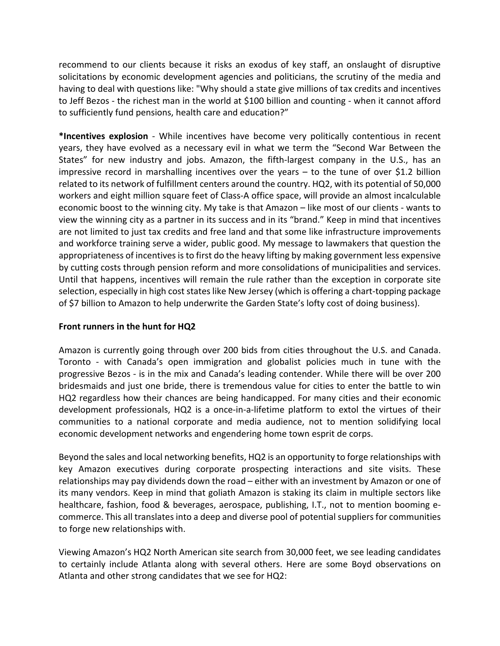recommend to our clients because it risks an exodus of key staff, an onslaught of disruptive solicitations by economic development agencies and politicians, the scrutiny of the media and having to deal with questions like: "Why should a state give millions of tax credits and incentives to Jeff Bezos ‐ the richest man in the world at \$100 billion and counting ‐ when it cannot afford to sufficiently fund pensions, health care and education?"

**\*Incentives explosion** ‐ While incentives have become very politically contentious in recent years, they have evolved as a necessary evil in what we term the "Second War Between the States" for new industry and jobs. Amazon, the fifth‐largest company in the U.S., has an impressive record in marshalling incentives over the years – to the tune of over \$1.2 billion related to its network of fulfillment centers around the country. HQ2, with its potential of 50,000 workers and eight million square feet of Class-A office space, will provide an almost incalculable economic boost to the winning city. My take is that Amazon – like most of our clients ‐ wants to view the winning city as a partner in its success and in its "brand." Keep in mind that incentives are not limited to just tax credits and free land and that some like infrastructure improvements and workforce training serve a wider, public good. My message to lawmakers that question the appropriateness of incentives is to first do the heavy lifting by making government less expensive by cutting costs through pension reform and more consolidations of municipalities and services. Until that happens, incentives will remain the rule rather than the exception in corporate site selection, especially in high cost states like New Jersey (which is offering a chart-topping package of \$7 billion to Amazon to help underwrite the Garden State's lofty cost of doing business).

## **Front runners in the hunt for HQ2**

Amazon is currently going through over 200 bids from cities throughout the U.S. and Canada. Toronto ‐ with Canada's open immigration and globalist policies much in tune with the progressive Bezos ‐ is in the mix and Canada's leading contender. While there will be over 200 bridesmaids and just one bride, there is tremendous value for cities to enter the battle to win HQ2 regardless how their chances are being handicapped. For many cities and their economic development professionals, HQ2 is a once‐in‐a‐lifetime platform to extol the virtues of their communities to a national corporate and media audience, not to mention solidifying local economic development networks and engendering home town esprit de corps.

Beyond the sales and local networking benefits, HQ2 is an opportunity to forge relationships with key Amazon executives during corporate prospecting interactions and site visits. These relationships may pay dividends down the road – either with an investment by Amazon or one of its many vendors. Keep in mind that goliath Amazon is staking its claim in multiple sectors like healthcare, fashion, food & beverages, aerospace, publishing, I.T., not to mention booming ecommerce. This all translates into a deep and diverse pool of potential suppliers for communities to forge new relationships with.

Viewing Amazon's HQ2 North American site search from 30,000 feet, we see leading candidates to certainly include Atlanta along with several others. Here are some Boyd observations on Atlanta and other strong candidates that we see for HQ2: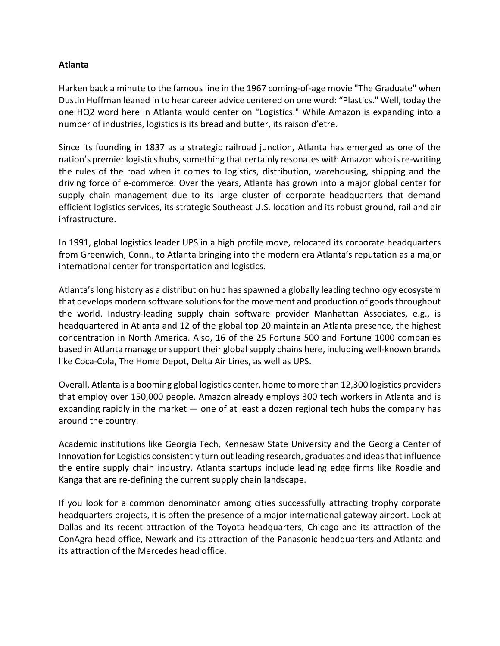#### **Atlanta**

Harken back a minute to the famous line in the 1967 coming-of-age movie "The Graduate" when Dustin Hoffman leaned in to hear career advice centered on one word: "Plastics." Well, today the one HQ2 word here in Atlanta would center on "Logistics." While Amazon is expanding into a number of industries, logistics is its bread and butter, its raison d'etre.

Since its founding in 1837 as a strategic railroad junction, Atlanta has emerged as one of the nation's premier logistics hubs, something that certainly resonates with Amazon who is re-writing the rules of the road when it comes to logistics, distribution, warehousing, shipping and the driving force of e‐commerce. Over the years, Atlanta has grown into a major global center for supply chain management due to its large cluster of corporate headquarters that demand efficient logistics services, its strategic Southeast U.S. location and its robust ground, rail and air infrastructure.

In 1991, global logistics leader UPS in a high profile move, relocated its corporate headquarters from Greenwich, Conn., to Atlanta bringing into the modern era Atlanta's reputation as a major international center for transportation and logistics.

Atlanta's long history as a distribution hub has spawned a globally leading technology ecosystem that develops modern software solutions for the movement and production of goods throughout the world. Industry-leading supply chain software provider Manhattan Associates, e.g., is headquartered in Atlanta and 12 of the global top 20 maintain an Atlanta presence, the highest concentration in North America. Also, 16 of the 25 Fortune 500 and Fortune 1000 companies based in Atlanta manage or support their global supply chains here, including well‐known brands like Coca‐Cola, The Home Depot, Delta Air Lines, as well as UPS.

Overall, Atlanta is a booming global logistics center, home to more than 12,300 logistics providers that employ over 150,000 people. Amazon already employs 300 tech workers in Atlanta and is expanding rapidly in the market  $-$  one of at least a dozen regional tech hubs the company has around the country.

Academic institutions like Georgia Tech, Kennesaw State University and the Georgia Center of Innovation for Logistics consistently turn out leading research, graduates and ideas that influence the entire supply chain industry. Atlanta startups include leading edge firms like Roadie and Kanga that are re‐defining the current supply chain landscape.

If you look for a common denominator among cities successfully attracting trophy corporate headquarters projects, it is often the presence of a major international gateway airport. Look at Dallas and its recent attraction of the Toyota headquarters, Chicago and its attraction of the ConAgra head office, Newark and its attraction of the Panasonic headquarters and Atlanta and its attraction of the Mercedes head office.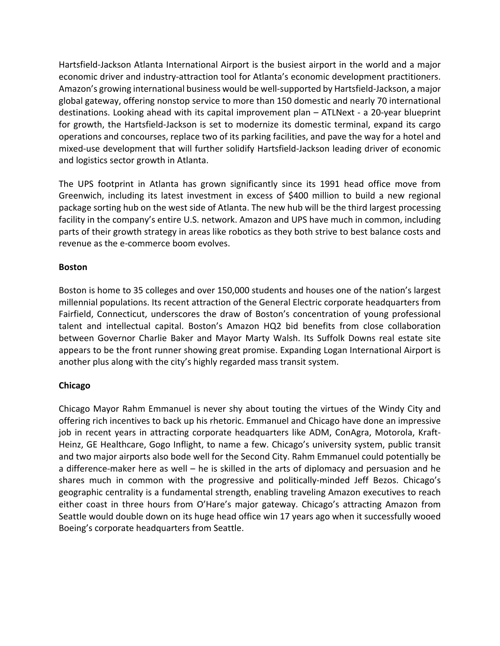Hartsfield‐Jackson Atlanta International Airport is the busiest airport in the world and a major economic driver and industry‐attraction tool for Atlanta's economic development practitioners. Amazon's growing international business would be well‐supported by Hartsfield‐Jackson, a major global gateway, offering nonstop service to more than 150 domestic and nearly 70 international destinations. Looking ahead with its capital improvement plan – ATLNext ‐ a 20‐year blueprint for growth, the Hartsfield‐Jackson is set to modernize its domestic terminal, expand its cargo operations and concourses, replace two of its parking facilities, and pave the way for a hotel and mixed‐use development that will further solidify Hartsfield‐Jackson leading driver of economic and logistics sector growth in Atlanta.

The UPS footprint in Atlanta has grown significantly since its 1991 head office move from Greenwich, including its latest investment in excess of \$400 million to build a new regional package sorting hub on the west side of Atlanta. The new hub will be the third largest processing facility in the company's entire U.S. network. Amazon and UPS have much in common, including parts of their growth strategy in areas like robotics as they both strive to best balance costs and revenue as the e‐commerce boom evolves.

#### **Boston**

Boston is home to 35 colleges and over 150,000 students and houses one of the nation's largest millennial populations. Its recent attraction of the General Electric corporate headquarters from Fairfield, Connecticut, underscores the draw of Boston's concentration of young professional talent and intellectual capital. Boston's Amazon HQ2 bid benefits from close collaboration between Governor Charlie Baker and Mayor Marty Walsh. Its Suffolk Downs real estate site appears to be the front runner showing great promise. Expanding Logan International Airport is another plus along with the city's highly regarded mass transit system.

#### **Chicago**

Chicago Mayor Rahm Emmanuel is never shy about touting the virtues of the Windy City and offering rich incentives to back up his rhetoric. Emmanuel and Chicago have done an impressive job in recent years in attracting corporate headquarters like ADM, ConAgra, Motorola, Kraft-Heinz, GE Healthcare, Gogo Inflight, to name a few. Chicago's university system, public transit and two major airports also bode well for the Second City. Rahm Emmanuel could potentially be a difference-maker here as well – he is skilled in the arts of diplomacy and persuasion and he shares much in common with the progressive and politically-minded Jeff Bezos. Chicago's geographic centrality is a fundamental strength, enabling traveling Amazon executives to reach either coast in three hours from O'Hare's major gateway. Chicago's attracting Amazon from Seattle would double down on its huge head office win 17 years ago when it successfully wooed Boeing's corporate headquarters from Seattle.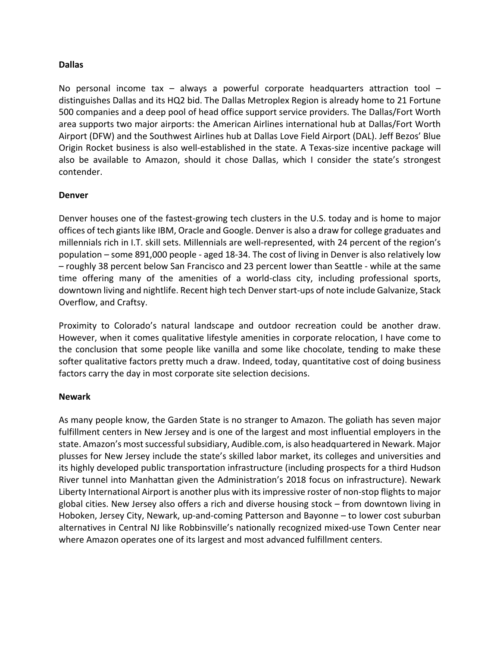#### **Dallas**

No personal income tax  $-$  always a powerful corporate headquarters attraction tool  $$ distinguishes Dallas and its HQ2 bid. The Dallas Metroplex Region is already home to 21 Fortune 500 companies and a deep pool of head office support service providers. The Dallas/Fort Worth area supports two major airports: the American Airlines international hub at Dallas/Fort Worth Airport (DFW) and the Southwest Airlines hub at Dallas Love Field Airport (DAL). Jeff Bezos' Blue Origin Rocket business is also well‐established in the state. A Texas‐size incentive package will also be available to Amazon, should it chose Dallas, which I consider the state's strongest contender.

#### **Denver**

Denver houses one of the fastest-growing tech clusters in the U.S. today and is home to major offices of tech giantslike IBM, Oracle and Google. Denver is also a draw for college graduates and millennials rich in I.T. skill sets. Millennials are well‐represented, with 24 percent of the region's population – some 891,000 people ‐ aged 18‐34. The cost of living in Denver is also relatively low – roughly 38 percent below San Francisco and 23 percent lower than Seattle ‐ while at the same time offering many of the amenities of a world‐class city, including professional sports, downtown living and nightlife. Recent high tech Denverstart‐ups of note include Galvanize, Stack Overflow, and Craftsy.

Proximity to Colorado's natural landscape and outdoor recreation could be another draw. However, when it comes qualitative lifestyle amenities in corporate relocation, I have come to the conclusion that some people like vanilla and some like chocolate, tending to make these softer qualitative factors pretty much a draw. Indeed, today, quantitative cost of doing business factors carry the day in most corporate site selection decisions.

#### **Newark**

As many people know, the Garden State is no stranger to Amazon. The goliath has seven major fulfillment centers in New Jersey and is one of the largest and most influential employers in the state. Amazon's most successful subsidiary, Audible.com, is also headquartered in Newark. Major plusses for New Jersey include the state's skilled labor market, its colleges and universities and its highly developed public transportation infrastructure (including prospects for a third Hudson River tunnel into Manhattan given the Administration's 2018 focus on infrastructure). Newark Liberty International Airport is another plus with its impressive roster of non-stop flights to major global cities. New Jersey also offers a rich and diverse housing stock – from downtown living in Hoboken, Jersey City, Newark, up-and-coming Patterson and Bayonne – to lower cost suburban alternatives in Central NJ like Robbinsville's nationally recognized mixed-use Town Center near where Amazon operates one of its largest and most advanced fulfillment centers.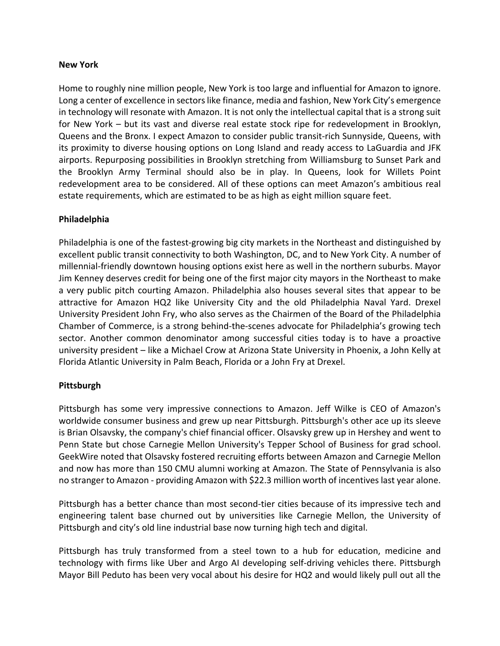#### **New York**

Home to roughly nine million people, New York is too large and influential for Amazon to ignore. Long a center of excellence in sectors like finance, media and fashion, New York City's emergence in technology will resonate with Amazon. It is not only the intellectual capital that is a strong suit for New York – but its vast and diverse real estate stock ripe for redevelopment in Brooklyn, Queens and the Bronx. I expect Amazon to consider public transit‐rich Sunnyside, Queens, with its proximity to diverse housing options on Long Island and ready access to LaGuardia and JFK airports. Repurposing possibilities in Brooklyn stretching from Williamsburg to Sunset Park and the Brooklyn Army Terminal should also be in play. In Queens, look for Willets Point redevelopment area to be considered. All of these options can meet Amazon's ambitious real estate requirements, which are estimated to be as high as eight million square feet.

#### **Philadelphia**

Philadelphia is one of the fastest‐growing big city markets in the Northeast and distinguished by excellent public transit connectivity to both Washington, DC, and to New York City. A number of millennial‐friendly downtown housing options exist here as well in the northern suburbs. Mayor Jim Kenney deserves credit for being one of the first major city mayors in the Northeast to make a very public pitch courting Amazon. Philadelphia also houses several sites that appear to be attractive for Amazon HQ2 like University City and the old Philadelphia Naval Yard. Drexel University President John Fry, who also serves as the Chairmen of the Board of the Philadelphia Chamber of Commerce, is a strong behind‐the‐scenes advocate for Philadelphia's growing tech sector. Another common denominator among successful cities today is to have a proactive university president – like a Michael Crow at Arizona State University in Phoenix, a John Kelly at Florida Atlantic University in Palm Beach, Florida or a John Fry at Drexel.

#### **Pittsburgh**

Pittsburgh has some very impressive connections to Amazon. Jeff Wilke is CEO of Amazon's worldwide consumer business and grew up near Pittsburgh. Pittsburgh's other ace up its sleeve is Brian Olsavsky, the company's chief financial officer. Olsavsky grew up in Hershey and went to Penn State but chose Carnegie Mellon University's Tepper School of Business for grad school. GeekWire noted that Olsavsky fostered recruiting efforts between Amazon and Carnegie Mellon and now has more than 150 CMU alumni working at Amazon. The State of Pennsylvania is also no stranger to Amazon - providing Amazon with \$22.3 million worth of incentives last year alone.

Pittsburgh has a better chance than most second‐tier cities because of its impressive tech and engineering talent base churned out by universities like Carnegie Mellon, the University of Pittsburgh and city's old line industrial base now turning high tech and digital.

Pittsburgh has truly transformed from a steel town to a hub for education, medicine and technology with firms like Uber and Argo AI developing self‐driving vehicles there. Pittsburgh Mayor Bill Peduto has been very vocal about his desire for HQ2 and would likely pull out all the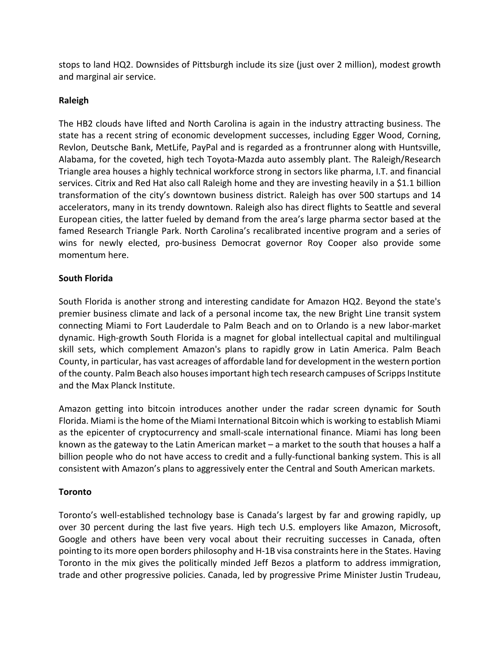stops to land HQ2. Downsides of Pittsburgh include its size (just over 2 million), modest growth and marginal air service.

## **Raleigh**

The HB2 clouds have lifted and North Carolina is again in the industry attracting business. The state has a recent string of economic development successes, including Egger Wood, Corning, Revlon, Deutsche Bank, MetLife, PayPal and is regarded as a frontrunner along with Huntsville, Alabama, for the coveted, high tech Toyota‐Mazda auto assembly plant. The Raleigh/Research Triangle area houses a highly technical workforce strong in sectors like pharma, I.T. and financial services. Citrix and Red Hat also call Raleigh home and they are investing heavily in a \$1.1 billion transformation of the city's downtown business district. Raleigh has over 500 startups and 14 accelerators, many in its trendy downtown. Raleigh also has direct flights to Seattle and several European cities, the latter fueled by demand from the area's large pharma sector based at the famed Research Triangle Park. North Carolina's recalibrated incentive program and a series of wins for newly elected, pro-business Democrat governor Roy Cooper also provide some momentum here.

# **South Florida**

South Florida is another strong and interesting candidate for Amazon HQ2. Beyond the state's premier business climate and lack of a personal income tax, the new Bright Line transit system connecting Miami to Fort Lauderdale to Palm Beach and on to Orlando is a new labor‐market dynamic. High‐growth South Florida is a magnet for global intellectual capital and multilingual skill sets, which complement Amazon's plans to rapidly grow in Latin America. Palm Beach County, in particular, has vast acreages of affordable land for development in the western portion of the county. Palm Beach also houses important high tech research campuses of Scripps Institute and the Max Planck Institute.

Amazon getting into bitcoin introduces another under the radar screen dynamic for South Florida. Miami isthe home of the Miami International Bitcoin which is working to establish Miami as the epicenter of cryptocurrency and small‐scale international finance. Miami has long been known as the gateway to the Latin American market – a market to the south that houses a half a billion people who do not have access to credit and a fully-functional banking system. This is all consistent with Amazon's plans to aggressively enter the Central and South American markets.

# **Toronto**

Toronto's well-established technology base is Canada's largest by far and growing rapidly, up over 30 percent during the last five years. High tech U.S. employers like Amazon, Microsoft, Google and others have been very vocal about their recruiting successes in Canada, often pointing to its more open borders philosophy and H‐1B visa constraints here in the States. Having Toronto in the mix gives the politically minded Jeff Bezos a platform to address immigration, trade and other progressive policies. Canada, led by progressive Prime Minister Justin Trudeau,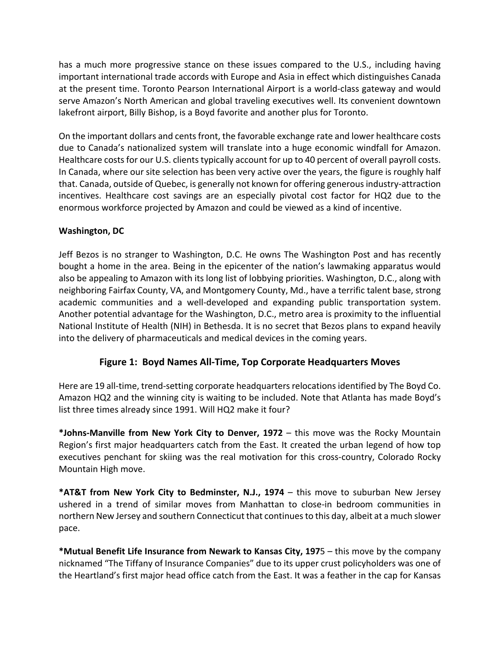has a much more progressive stance on these issues compared to the U.S., including having important international trade accords with Europe and Asia in effect which distinguishes Canada at the present time. Toronto Pearson International Airport is a world‐class gateway and would serve Amazon's North American and global traveling executives well. Its convenient downtown lakefront airport, Billy Bishop, is a Boyd favorite and another plus for Toronto.

On the important dollars and centsfront, the favorable exchange rate and lower healthcare costs due to Canada's nationalized system will translate into a huge economic windfall for Amazon. Healthcare costs for our U.S. clients typically account for up to 40 percent of overall payroll costs. In Canada, where our site selection has been very active over the years, the figure is roughly half that. Canada, outside of Quebec, is generally not known for offering generousindustry‐attraction incentives. Healthcare cost savings are an especially pivotal cost factor for HQ2 due to the enormous workforce projected by Amazon and could be viewed as a kind of incentive.

# **Washington, DC**

Jeff Bezos is no stranger to Washington, D.C. He owns The Washington Post and has recently bought a home in the area. Being in the epicenter of the nation's lawmaking apparatus would also be appealing to Amazon with its long list of lobbying priorities. Washington, D.C., along with neighboring Fairfax County, VA, and Montgomery County, Md., have a terrific talent base, strong academic communities and a well-developed and expanding public transportation system. Another potential advantage for the Washington, D.C., metro area is proximity to the influential National Institute of Health (NIH) in Bethesda. It is no secret that Bezos plans to expand heavily into the delivery of pharmaceuticals and medical devices in the coming years.

# **Figure 1: Boyd Names All‐Time, Top Corporate Headquarters Moves**

Here are 19 all-time, trend-setting corporate headquarters relocations identified by The Boyd Co. Amazon HQ2 and the winning city is waiting to be included. Note that Atlanta has made Boyd's list three times already since 1991. Will HQ2 make it four?

**\*Johns‐Manville from New York City to Denver, 1972** – this move was the Rocky Mountain Region's first major headquarters catch from the East. It created the urban legend of how top executives penchant for skiing was the real motivation for this cross-country, Colorado Rocky Mountain High move.

**\*AT&T from New York City to Bedminster, N.J., 1974** – this move to suburban New Jersey ushered in a trend of similar moves from Manhattan to close‐in bedroom communities in northern New Jersey and southern Connecticut that continuesto this day, albeit at a much slower pace.

**\*Mutual Benefit Life Insurance from Newark to Kansas City, 197**5 – this move by the company nicknamed "The Tiffany of Insurance Companies" due to its upper crust policyholders was one of the Heartland's first major head office catch from the East. It was a feather in the cap for Kansas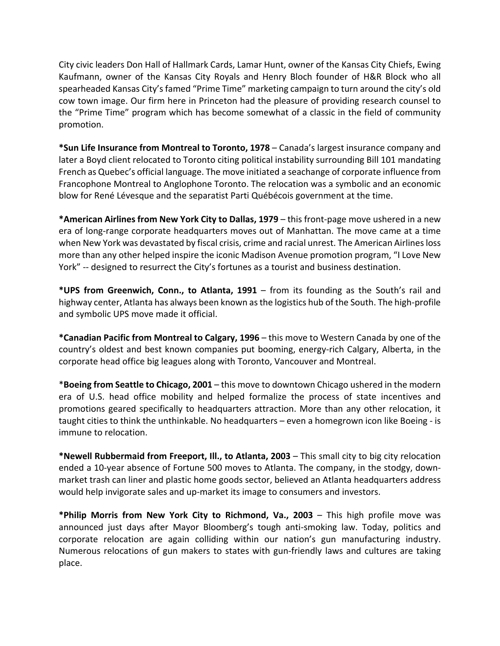City civic leaders Don Hall of Hallmark Cards, Lamar Hunt, owner of the Kansas City Chiefs, Ewing Kaufmann, owner of the Kansas City Royals and Henry Bloch founder of H&R Block who all spearheaded Kansas City's famed "Prime Time" marketing campaign to turn around the city's old cow town image. Our firm here in Princeton had the pleasure of providing research counsel to the "Prime Time" program which has become somewhat of a classic in the field of community promotion.

**\*Sun Life Insurance from Montreal to Toronto, 1978** – Canada's largest insurance company and later a Boyd client relocated to Toronto citing political instability surrounding Bill 101 mandating French as Quebec's official language. The move initiated a seachange of corporate influence from Francophone Montreal to Anglophone Toronto. The relocation was a symbolic and an economic blow for René Lévesque and the separatist Parti Québécois government at the time.

**\*American Airlines from New York City to Dallas, 1979** – this front‐page move ushered in a new era of long-range corporate headquarters moves out of Manhattan. The move came at a time when New York was devastated by fiscal crisis, crime and racial unrest. The American Airlines loss more than any other helped inspire the iconic Madison Avenue promotion program, "I Love New York" -- designed to resurrect the City's fortunes as a tourist and business destination.

**\*UPS from Greenwich, Conn., to Atlanta, 1991** – from its founding as the South's rail and highway center, Atlanta has always been known asthe logistics hub of the South. The high‐profile and symbolic UPS move made it official.

**\*Canadian Pacific from Montreal to Calgary, 1996** – this move to Western Canada by one of the country's oldest and best known companies put booming, energy‐rich Calgary, Alberta, in the corporate head office big leagues along with Toronto, Vancouver and Montreal.

\***Boeing from Seattle to Chicago, 2001** – this move to downtown Chicago ushered in the modern era of U.S. head office mobility and helped formalize the process of state incentives and promotions geared specifically to headquarters attraction. More than any other relocation, it taught cities to think the unthinkable. No headquarters – even a homegrown icon like Boeing ‐ is immune to relocation.

**\*Newell Rubbermaid from Freeport, Ill., to Atlanta, 2003** – This small city to big city relocation ended a 10‐year absence of Fortune 500 moves to Atlanta. The company, in the stodgy, down‐ market trash can liner and plastic home goods sector, believed an Atlanta headquarters address would help invigorate sales and up-market its image to consumers and investors.

**\*Philip Morris from New York City to Richmond, Va., 2003** – This high profile move was announced just days after Mayor Bloomberg's tough anti‐smoking law. Today, politics and corporate relocation are again colliding within our nation's gun manufacturing industry. Numerous relocations of gun makers to states with gun‐friendly laws and cultures are taking place.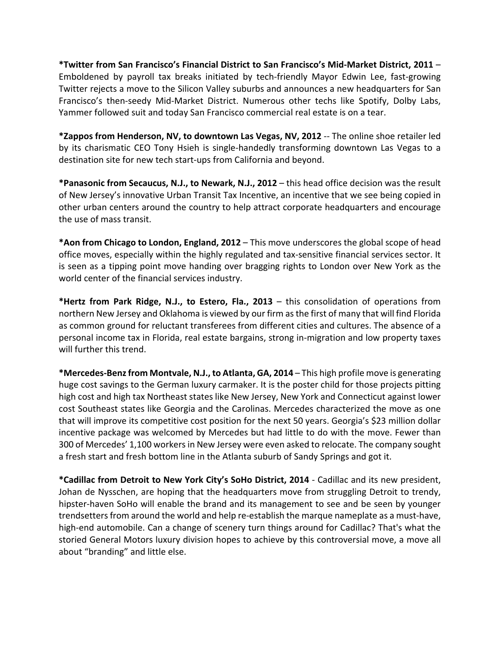**\*Twitter from San Francisco's Financial District to San Francisco's Mid‐Market District, 2011** – Emboldened by payroll tax breaks initiated by tech‐friendly Mayor Edwin Lee, fast‐growing Twitter rejects a move to the Silicon Valley suburbs and announces a new headquarters for San Francisco's then‐seedy Mid‐Market District. Numerous other techs like Spotify, Dolby Labs, Yammer followed suit and today San Francisco commercial real estate is on a tear.

**\*Zappos from Henderson, NV, to downtown Las Vegas, NV, 2012** ‐‐ The online shoe retailer led by its charismatic CEO Tony Hsieh is single‐handedly transforming downtown Las Vegas to a destination site for new tech start‐ups from California and beyond.

**\*Panasonic from Secaucus, N.J., to Newark, N.J., 2012** – this head office decision was the result of New Jersey's innovative Urban Transit Tax Incentive, an incentive that we see being copied in other urban centers around the country to help attract corporate headquarters and encourage the use of mass transit.

**\*Aon from Chicago to London, England, 2012** – This move underscores the global scope of head office moves, especially within the highly regulated and tax‐sensitive financial services sector. It is seen as a tipping point move handing over bragging rights to London over New York as the world center of the financial services industry.

**\*Hertz from Park Ridge, N.J., to Estero, Fla., 2013** – this consolidation of operations from northern New Jersey and Oklahoma is viewed by our firm asthe first of many that will find Florida as common ground for reluctant transferees from different cities and cultures. The absence of a personal income tax in Florida, real estate bargains, strong in‐migration and low property taxes will further this trend.

**\*Mercedes‐Benzfrom Montvale, N.J., to Atlanta, GA, 2014** – This high profile move is generating huge cost savings to the German luxury carmaker. It is the poster child for those projects pitting high cost and high tax Northeast states like New Jersey, New York and Connecticut against lower cost Southeast states like Georgia and the Carolinas. Mercedes characterized the move as one that will improve its competitive cost position for the next 50 years. Georgia's \$23 million dollar incentive package was welcomed by Mercedes but had little to do with the move. Fewer than 300 of Mercedes' 1,100 workersin New Jersey were even asked to relocate. The company sought a fresh start and fresh bottom line in the Atlanta suburb of Sandy Springs and got it.

**\*Cadillac from Detroit to New York City's SoHo District, 2014** ‐ Cadillac and its new president, Johan de Nysschen, are hoping that the headquarters move from struggling Detroit to trendy, hipster‐haven SoHo will enable the brand and its management to see and be seen by younger trendsetters from around the world and help re-establish the marque nameplate as a must-have, high-end automobile. Can a change of scenery turn things around for Cadillac? That's what the storied General Motors luxury division hopes to achieve by this controversial move, a move all about "branding" and little else.